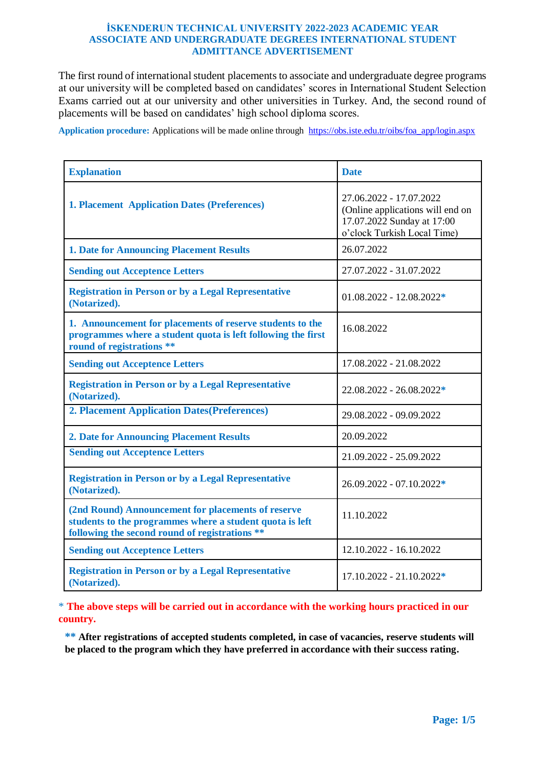### **İSKENDERUN TECHNICAL UNIVERSITY 2022-2023 ACADEMIC YEAR ASSOCIATE AND UNDERGRADUATE DEGREES INTERNATIONAL STUDENT ADMITTANCE ADVERTISEMENT**

The first round of international student placements to associate and undergraduate degree programs at our university will be completed based on candidates' scores in International Student Selection Exams carried out at our university and other universities in Turkey. And, the second round of placements will be based on candidates' high school diploma scores.

**Application procedure:** Applications will be made online through [https://obs.iste.edu.tr/oibs/foa\\_app/login.aspx](https://obs.iste.edu.tr/oibs/foa_app/login.aspx)

| <b>Explanation</b>                                                                                                                                               | <b>Date</b>                                                                                                              |
|------------------------------------------------------------------------------------------------------------------------------------------------------------------|--------------------------------------------------------------------------------------------------------------------------|
| <b>1. Placement Application Dates (Preferences)</b>                                                                                                              | 27.06.2022 - 17.07.2022<br>(Online applications will end on<br>17.07.2022 Sunday at 17:00<br>o'clock Turkish Local Time) |
| <b>1. Date for Announcing Placement Results</b>                                                                                                                  | 26.07.2022                                                                                                               |
| <b>Sending out Acceptence Letters</b>                                                                                                                            | 27.07.2022 - 31.07.2022                                                                                                  |
| <b>Registration in Person or by a Legal Representative</b><br>(Notarized).                                                                                       | $01.08.2022 - 12.08.2022*$                                                                                               |
| 1. Announcement for placements of reserve students to the<br>programmes where a student quota is left following the first<br>round of registrations **           | 16.08.2022                                                                                                               |
| <b>Sending out Acceptence Letters</b>                                                                                                                            | 17.08.2022 - 21.08.2022                                                                                                  |
| <b>Registration in Person or by a Legal Representative</b><br>(Notarized).                                                                                       | 22.08.2022 - 26.08.2022*                                                                                                 |
| <b>2. Placement Application Dates (Preferences)</b>                                                                                                              | 29.08.2022 - 09.09.2022                                                                                                  |
| <b>2. Date for Announcing Placement Results</b>                                                                                                                  | 20.09.2022                                                                                                               |
| <b>Sending out Acceptence Letters</b>                                                                                                                            | 21.09.2022 - 25.09.2022                                                                                                  |
| <b>Registration in Person or by a Legal Representative</b><br>(Notarized).                                                                                       | $26.09.2022 - 07.10.2022*$                                                                                               |
| (2nd Round) Announcement for placements of reserve<br>students to the programmes where a student quota is left<br>following the second round of registrations ** | 11.10.2022                                                                                                               |
| <b>Sending out Acceptence Letters</b>                                                                                                                            | 12.10.2022 - 16.10.2022                                                                                                  |
| <b>Registration in Person or by a Legal Representative</b><br>(Notarized).                                                                                       | $17.10.2022 - 21.10.2022*$                                                                                               |

\* **The above steps will be carried out in accordance with the working hours practiced in our country.**

**\*\* After registrations of accepted students completed, in case of vacancies, reserve students will be placed to the program which they have preferred in accordance with their success rating.**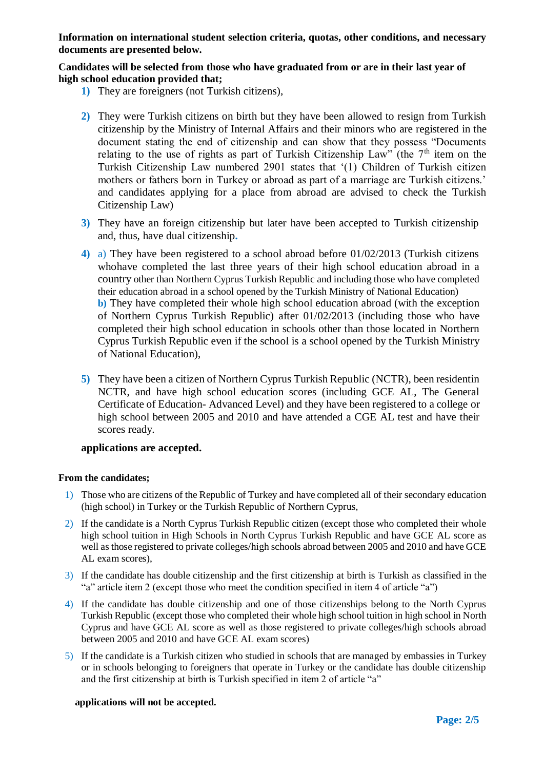**Information on international student selection criteria, quotas, other conditions, and necessary documents are presented below.** 

### **Candidates will be selected from those who have graduated from or are in their last year of high school education provided that;**

- **1)** They are foreigners (not Turkish citizens),
- **2)** They were Turkish citizens on birth but they have been allowed to resign from Turkish citizenship by the Ministry of Internal Affairs and their minors who are registered in the document stating the end of citizenship and can show that they possess "Documents relating to the use of rights as part of Turkish Citizenship Law" (the  $7<sup>th</sup>$  item on the Turkish Citizenship Law numbered 2901 states that '(1) Children of Turkish citizen mothers or fathers born in Turkey or abroad as part of a marriage are Turkish citizens.' and candidates applying for a place from abroad are advised to check the Turkish Citizenship Law)
- **3)** They have an foreign citizenship but later have been accepted to Turkish citizenship and, thus, have dual citizenship**.**
- **4)** a) They have been registered to a school abroad before 01/02/2013 (Turkish citizens whohave completed the last three years of their high school education abroad in a country other than Northern Cyprus Turkish Republic and including those who have completed their education abroad in a school opened by the Turkish Ministry of National Education) **b)** They have completed their whole high school education abroad (with the exception of Northern Cyprus Turkish Republic) after 01/02/2013 (including those who have completed their high school education in schools other than those located in Northern Cyprus Turkish Republic even if the school is a school opened by the Turkish Ministry of National Education),
- **5)** They have been a citizen of Northern Cyprus Turkish Republic (NCTR), been residentin NCTR, and have high school education scores (including GCE AL, The General Certificate of Education- Advanced Level) and they have been registered to a college or high school between 2005 and 2010 and have attended a CGE AL test and have their scores ready.

## **applications are accepted.**

### **From the candidates;**

- 1) Those who are citizens of the Republic of Turkey and have completed all of their secondary education (high school) in Turkey or the Turkish Republic of Northern Cyprus,
- 2) If the candidate is a North Cyprus Turkish Republic citizen (except those who completed their whole high school tuition in High Schools in North Cyprus Turkish Republic and have GCE AL score as well as those registered to private colleges/high schools abroad between 2005 and 2010 and have GCE AL exam scores),
- 3) If the candidate has double citizenship and the first citizenship at birth is Turkish as classified in the "a" article item 2 (except those who meet the condition specified in item 4 of article "a")
- 4) If the candidate has double citizenship and one of those citizenships belong to the North Cyprus Turkish Republic (except those who completed their whole high school tuition in high school in North Cyprus and have GCE AL score as well as those registered to private colleges/high schools abroad between 2005 and 2010 and have GCE AL exam scores)
- 5) If the candidate is a Turkish citizen who studied in schools that are managed by embassies in Turkey or in schools belonging to foreigners that operate in Turkey or the candidate has double citizenship and the first citizenship at birth is Turkish specified in item 2 of article "a"

### **applications will not be accepted.**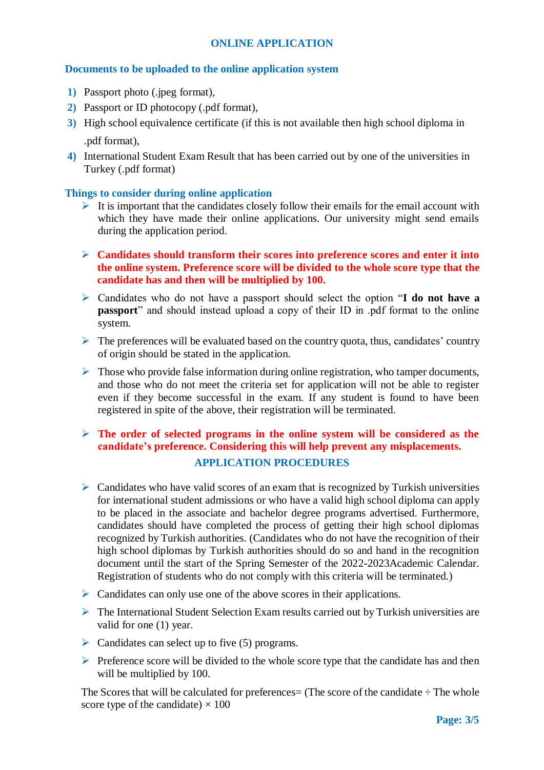## **ONLINE APPLICATION**

## **Documents to be uploaded to the online application system**

- **1)** Passport photo (.jpeg format),
- **2)** Passport or ID photocopy (.pdf format),
- **3)** High school equivalence certificate (if this is not available then high school diploma in .pdf format),
- **4)** International Student Exam Result that has been carried out by one of the universities in Turkey (.pdf format)

## **Things to consider during online application**

- It is important that the candidates closely follow their emails for the email account with which they have made their online applications. Our university might send emails during the application period.
- **Candidates should transform their scores into preference scores and enter it into the online system. Preference score will be divided to the whole score type that the candidate has and then will be multiplied by 100.**
- Candidates who do not have a passport should select the option "**I do not have a passport**" and should instead upload a copy of their ID in .pdf format to the online system.
- $\triangleright$  The preferences will be evaluated based on the country quota, thus, candidates' country of origin should be stated in the application.
- $\triangleright$  Those who provide false information during online registration, who tamper documents, and those who do not meet the criteria set for application will not be able to register even if they become successful in the exam. If any student is found to have been registered in spite of the above, their registration will be terminated.

# **The order of selected programs in the online system will be considered as the candidate's preference. Considering this will help prevent any misplacements. APPLICATION PROCEDURES**

- $\triangleright$  Candidates who have valid scores of an exam that is recognized by Turkish universities for international student admissions or who have a valid high school diploma can apply to be placed in the associate and bachelor degree programs advertised. Furthermore, candidates should have completed the process of getting their high school diplomas recognized by Turkish authorities. (Candidates who do not have the recognition of their high school diplomas by Turkish authorities should do so and hand in the recognition document until the start of the Spring Semester of the 2022-2023Academic Calendar. Registration of students who do not comply with this criteria will be terminated.)
- $\triangleright$  Candidates can only use one of the above scores in their applications.
- $\triangleright$  The International Student Selection Exam results carried out by Turkish universities are valid for one (1) year.
- $\triangleright$  Candidates can select up to five (5) programs.
- $\triangleright$  Preference score will be divided to the whole score type that the candidate has and then will be multiplied by 100.

The Scores that will be calculated for preferences  $=$  (The score of the candidate  $\div$  The whole score type of the candidate)  $\times$  100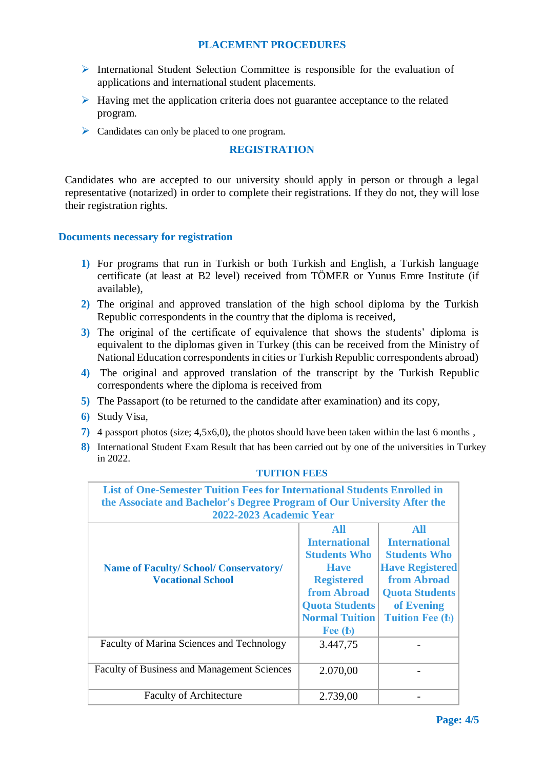# **PLACEMENT PROCEDURES**

- International Student Selection Committee is responsible for the evaluation of applications and international student placements.
- $\triangleright$  Having met the application criteria does not guarantee acceptance to the related program.
- ▶ Candidates can only be placed to one program.

## **REGISTRATION**

Candidates who are accepted to our university should apply in person or through a legal representative (notarized) in order to complete their registrations. If they do not, they will lose their registration rights.

## **Documents necessary for registration**

- **1)** For programs that run in Turkish or both Turkish and English, a Turkish language certificate (at least at B2 level) received from TÖMER or Yunus Emre Institute (if available),
- **2)** The original and approved translation of the high school diploma by the Turkish Republic correspondents in the country that the diploma is received,
- **3)** The original of the certificate of equivalence that shows the students' diploma is equivalent to the diplomas given in Turkey (this can be received from the Ministry of National Education correspondents in cities or Turkish Republic correspondents abroad)
- **4)** The original and approved translation of the transcript by the Turkish Republic correspondents where the diploma is received from
- **5)** The Passaport (to be returned to the candidate after examination) and its copy,
- **6)** Study Visa,
- **7)** 4 passport photos (size; 4,5x6,0), the photos should have been taken within the last 6 months ,
- **8)** International Student Exam Result that has been carried out by one of the universities in Turkey in 2022.

| <b>List of One-Semester Tuition Fees for International Students Enrolled in</b><br>the Associate and Bachelor's Degree Program of Our University After the |                       |                        |  |
|------------------------------------------------------------------------------------------------------------------------------------------------------------|-----------------------|------------------------|--|
| 2022-2023 Academic Year                                                                                                                                    |                       |                        |  |
|                                                                                                                                                            | All                   | All                    |  |
|                                                                                                                                                            | <b>International</b>  | <b>International</b>   |  |
|                                                                                                                                                            | <b>Students Who</b>   | <b>Students Who</b>    |  |
| <b>Name of Faculty/School/Conservatory/</b>                                                                                                                | <b>Have</b>           | <b>Have Registered</b> |  |
| <b>Vocational School</b>                                                                                                                                   | <b>Registered</b>     | from Abroad            |  |
|                                                                                                                                                            | from Abroad           | <b>Quota Students</b>  |  |
|                                                                                                                                                            | <b>Quota Students</b> | of Evening             |  |
|                                                                                                                                                            | <b>Normal Tuition</b> | <b>Tuition Fee (b)</b> |  |
|                                                                                                                                                            | Fee $(b)$             |                        |  |
| <b>Faculty of Marina Sciences and Technology</b>                                                                                                           | 3.447,75              |                        |  |
| <b>Faculty of Business and Management Sciences</b>                                                                                                         | 2.070,00              |                        |  |
| <b>Faculty of Architecture</b>                                                                                                                             | 2.739,00              |                        |  |

### **TUITION FEES**